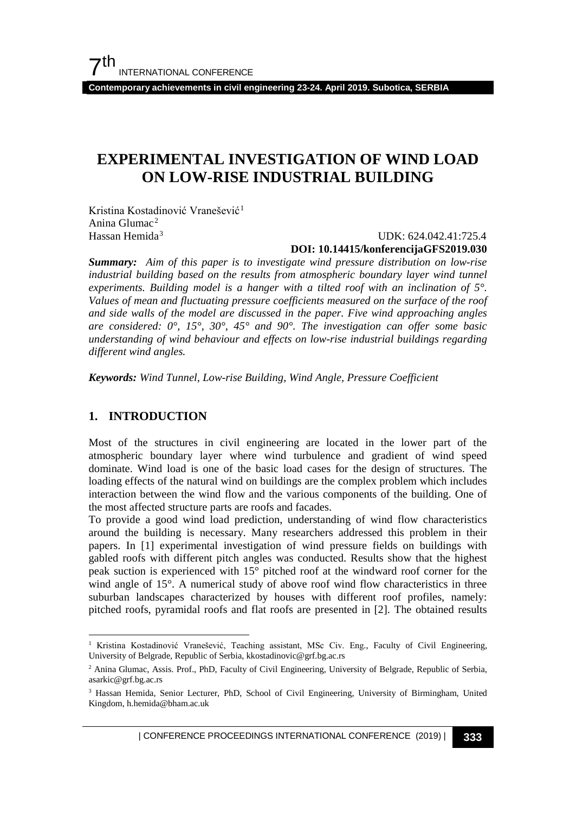**Contemporary achievements in civil engineering 23-24. April 2019. Subotica, SERBIA**

## **EXPERIMENTAL INVESTIGATION OF WIND LOAD ON LOW-RISE INDUSTRIAL BUILDING**

Kristina Kostadinović Vranešević<sup>[1](#page-0-0)</sup> Anina Glumac[2](#page-0-1) Hassan Hemida<sup>[3](#page-0-2)</sup>

#### UDK: 624.042.41:725.4 **DOI: 10.14415/konferencijaGFS2019.030**

*Summary: Aim of this paper is to investigate wind pressure distribution on low-rise industrial building based on the results from atmospheric boundary layer wind tunnel experiments. Building model is a hanger with a tilted roof with an inclination of 5°. Values of mean and fluctuating pressure coefficients measured on the surface of the roof and side walls of the model are discussed in the paper. Five wind approaching angles are considered: 0°, 15°, 30°, 45° and 90°. The investigation can offer some basic understanding of wind behaviour and effects on low-rise industrial buildings regarding different wind angles.*

*Keywords: Wind Tunnel, Low-rise Building, Wind Angle, Pressure Coefficient*

## **1. INTRODUCTION**

Most of the structures in civil engineering are located in the lower part of the atmospheric boundary layer where wind turbulence and gradient of wind speed dominate. Wind load is one of the basic load cases for the design of structures. The loading effects of the natural wind on buildings are the complex problem which includes interaction between the wind flow and the various components of the building. One of the most affected structure parts are roofs and facades.

To provide a good wind load prediction, understanding of wind flow characteristics around the building is necessary. Many researchers addressed this problem in their papers. In [1] experimental investigation of wind pressure fields on buildings with gabled roofs with different pitch angles was conducted. Results show that the highest peak suction is experienced with 15° pitched roof at the windward roof corner for the wind angle of 15°. A numerical study of above roof wind flow characteristics in three suburban landscapes characterized by houses with different roof profiles, namely: pitched roofs, pyramidal roofs and flat roofs are presented in [2]. The obtained results

<span id="page-0-0"></span><sup>&</sup>lt;sup>1</sup> Kristina Kostadinović Vranešević, Teaching assistant, MSc Civ. Eng., Faculty of Civil Engineering, University of Belgrade, Republic of Serbia, kkostadinovic@grf.bg.ac.rs

<span id="page-0-1"></span><sup>2</sup> Anina Glumac, Assis. Prof., PhD, Faculty of Civil Engineering, University of Belgrade, Republic of Serbia, asarkic@grf.bg.ac.rs

<span id="page-0-2"></span><sup>3</sup> Hassan Hemida, Senior Lecturer, PhD, School of Civil Engineering, University of Birmingham, United Kingdom, h.hemida@bham.ac.uk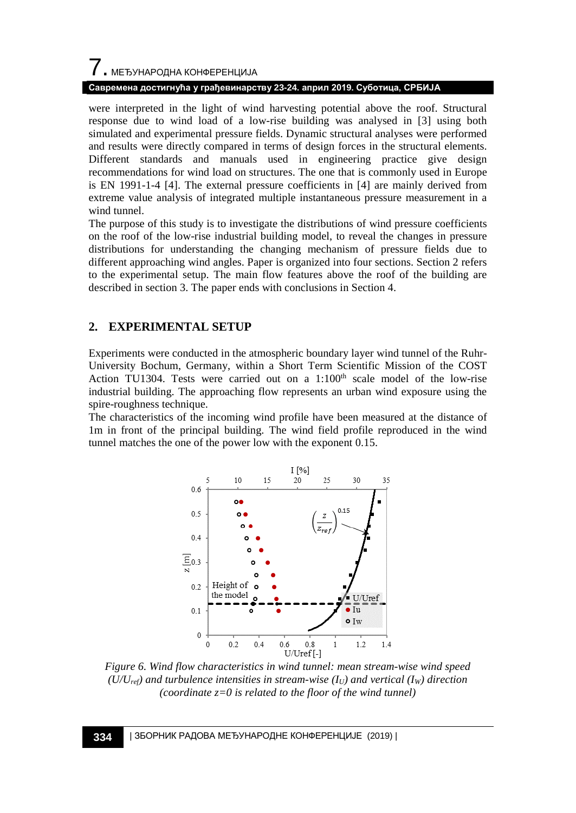#### **Савремена достигнућа у грађевинарству 23-24. април 2019. Суботица, СРБИЈА**

were interpreted in the light of wind harvesting potential above the roof. Structural response due to wind load of a low-rise building was analysed in [3] using both simulated and experimental pressure fields. Dynamic structural analyses were performed and results were directly compared in terms of design forces in the structural elements. Different standards and manuals used in engineering practice give design recommendations for wind load on structures. The one that is commonly used in Europe is EN 1991-1-4 [4]. The external pressure coefficients in [4] are mainly derived from extreme value analysis of integrated multiple instantaneous pressure measurement in a wind tunnel.

The purpose of this study is to investigate the distributions of wind pressure coefficients on the roof of the low-rise industrial building model, to reveal the changes in pressure distributions for understanding the changing mechanism of pressure fields due to different approaching wind angles. Paper is organized into four sections. Section 2 refers to the experimental setup. The main flow features above the roof of the building are described in section 3. The paper ends with conclusions in Section 4.

## **2. EXPERIMENTAL SETUP**

Experiments were conducted in the atmospheric boundary layer wind tunnel of the Ruhr-University Bochum, Germany, within a Short Term Scientific Mission of the COST Action TU1304. Tests were carried out on a  $1:100<sup>th</sup>$  scale model of the low-rise industrial building. The approaching flow represents an urban wind exposure using the spire-roughness technique.

The characteristics of the incoming wind profile have been measured at the distance of 1m in front of the principal building. The wind field profile reproduced in the wind tunnel matches the one of the power low with the exponent 0.15.



*Figure 6. Wind flow characteristics in wind tunnel: mean stream-wise wind speed*   $(U/U_{ref})$  and turbulence intensities in stream-wise  $(I_U)$  and vertical  $(I_W)$  direction *(coordinate z=0 is related to the floor of the wind tunnel)*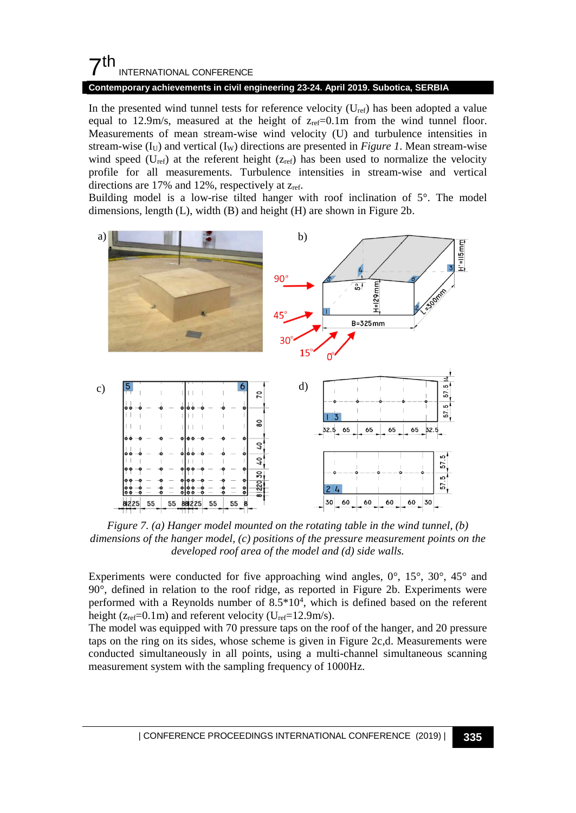## $7<sup>th</sup>$ INTERNATIONAL CONFERENCE

#### **Contemporary achievements in civil engineering 23-24. April 2019. Subotica, SERBIA**

In the presented wind tunnel tests for reference velocity  $(U_{ref})$  has been adopted a value equal to 12.9m/s, measured at the height of  $z_{ref}=0.1m$  from the wind tunnel floor. Measurements of mean stream-wise wind velocity (U) and turbulence intensities in stream-wise  $(I_U)$  and vertical  $(I_W)$  directions are presented in *[Figure 1](#page--1-0)*. Mean stream-wise wind speed ( $U_{ref}$ ) at the referent height ( $z_{ref}$ ) has been used to normalize the velocity profile for all measurements. Turbulence intensities in stream-wise and vertical directions are  $17\%$  and  $12\%$ , respectively at  $z_{ref}$ .

Building model is a low-rise tilted hanger with roof inclination of 5°. The model dimensions, length (L), width (B) and height (H) are shown i[n Figure 2b](#page--1-1).



*Figure 7. (a) Hanger model mounted on the rotating table in the wind tunnel, (b) dimensions of the hanger model, (c) positions of the pressure measurement points on the developed roof area of the model and (d) side walls.*

Experiments were conducted for five approaching wind angles,  $0^{\circ}$ ,  $15^{\circ}$ ,  $30^{\circ}$ ,  $45^{\circ}$  and 90°, defined in relation to the roof ridge, as reported in [Figure 2b](#page--1-1). Experiments were performed with a Reynolds number of 8.5\*10<sup>4</sup>, which is defined based on the referent height ( $z_{ref}=0.1$ m) and referent velocity ( $U_{ref}=12.9$ m/s).

The model was equipped with 70 pressure taps on the roof of the hanger, and 20 pressure taps on the ring on its sides, whose scheme is given in [Figure 2c](#page--1-1),d. Measurements were conducted simultaneously in all points, using a multi-channel simultaneous scanning measurement system with the sampling frequency of 1000Hz.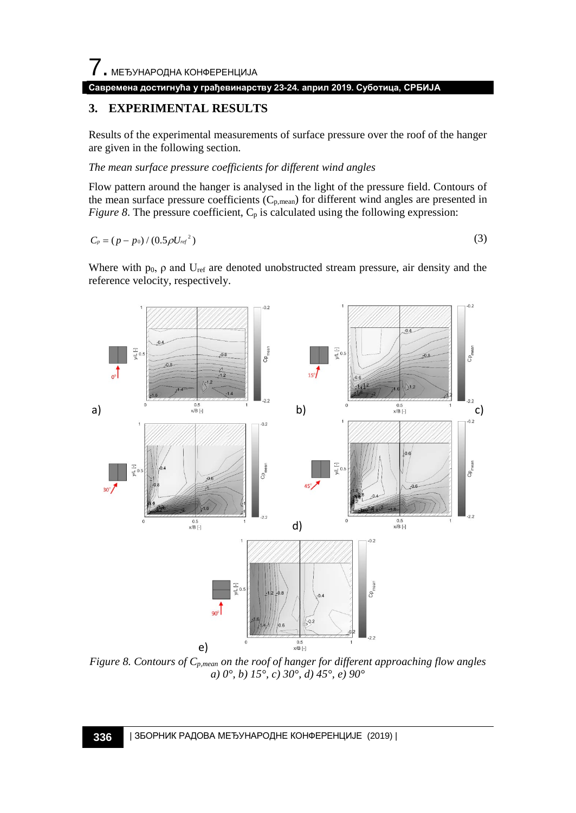#### **Савремена достигнућа у грађевинарству 23-24. април 2019. Суботица, СРБИЈА**

## **3. EXPERIMENTAL RESULTS**

Results of the experimental measurements of surface pressure over the roof of the hanger are given in the following section.

*The mean surface pressure coefficients for different wind angles*

Flow pattern around the hanger is analysed in the light of the pressure field. Contours of the mean surface pressure coefficients (Cp,mean) for different wind angles are presented in *[Figure 8](#page-3-0)*. The pressure coefficient,  $C_p$  is calculated using the following expression:

$$
C_p = (p - p_0) / (0.5 \rho U_{ref}^2)
$$
 (3)

Where with  $p_0$ ,  $\rho$  and  $U_{ref}$  are denoted unobstructed stream pressure, air density and the reference velocity, respectively.



<span id="page-3-0"></span>*Figure 8. Contours of*  $C_{p,mean}$  *on the roof of hanger for different approaching flow angles a) 0°, b) 15°, c) 30°, d) 45°, e) 90°*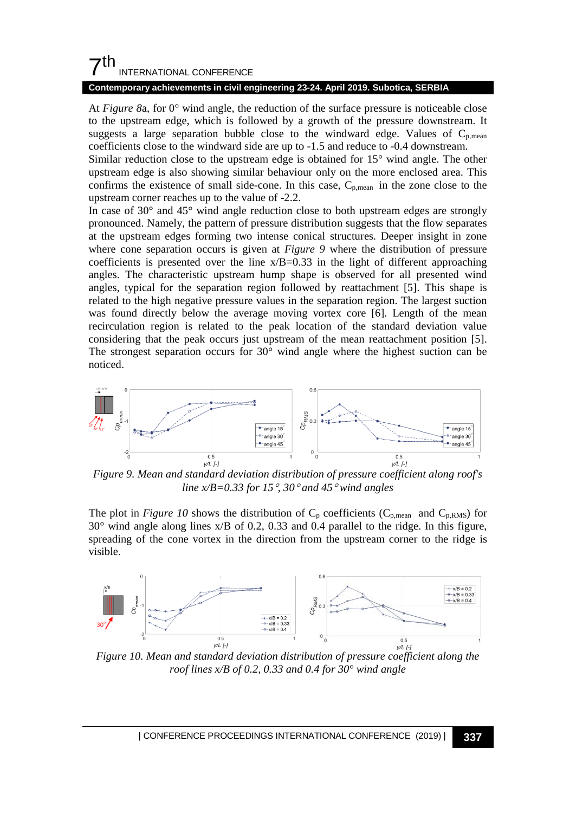## $7<sup>th</sup>$ INTERNATIONAL CONFERENCE

#### **Contemporary achievements in civil engineering 23-24. April 2019. Subotica, SERBIA**

At *[Figure 8](#page-3-0)*a, for 0° wind angle, the reduction of the surface pressure is noticeable close to the upstream edge, which is followed by a growth of the pressure downstream. It suggests a large separation bubble close to the windward edge. Values of  $C_{p,mean}$ coefficients close to the windward side are up to -1.5 and reduce to -0.4 downstream.

Similar reduction close to the upstream edge is obtained for 15° wind angle. The other upstream edge is also showing similar behaviour only on the more enclosed area. This confirms the existence of small side-cone. In this case,  $C_{p,mean}$  in the zone close to the upstream corner reaches up to the value of -2.2.

In case of 30° and 45° wind angle reduction close to both upstream edges are strongly pronounced. Namely, the pattern of pressure distribution suggests that the flow separates at the upstream edges forming two intense conical structures. Deeper insight in zone where cone separation occurs is given at *[Figure 9](#page-4-0)* where the distribution of pressure coefficients is presented over the line  $x/B=0.33$  in the light of different approaching angles. The characteristic upstream hump shape is observed for all presented wind angles, typical for the separation region followed by reattachment [5]. This shape is related to the high negative pressure values in the separation region. The largest suction was found directly below the average moving vortex core [6]. Length of the mean recirculation region is related to the peak location of the standard deviation value considering that the peak occurs just upstream of the mean reattachment position [5]. The strongest separation occurs for 30° wind angle where the highest suction can be noticed.



<span id="page-4-0"></span>*Figure 9. Mean and standard deviation distribution of pressure coefficient along roof's line x/B=0.33 for 15*°*, 30*° *and 45*° *wind angles*

The plot in *[Figure 10](#page-4-1)* shows the distribution of  $C_p$  coefficients ( $C_{p,\text{mean}}$  and  $C_{p,\text{RMS}}$ ) for 30° wind angle along lines x/B of 0.2, 0.33 and 0.4 parallel to the ridge. In this figure, spreading of the cone vortex in the direction from the upstream corner to the ridge is visible.



<span id="page-4-1"></span>*Figure 10. Mean and standard deviation distribution of pressure coefficient along the roof lines x/B of 0.2, 0.33 and 0.4 for 30° wind angle*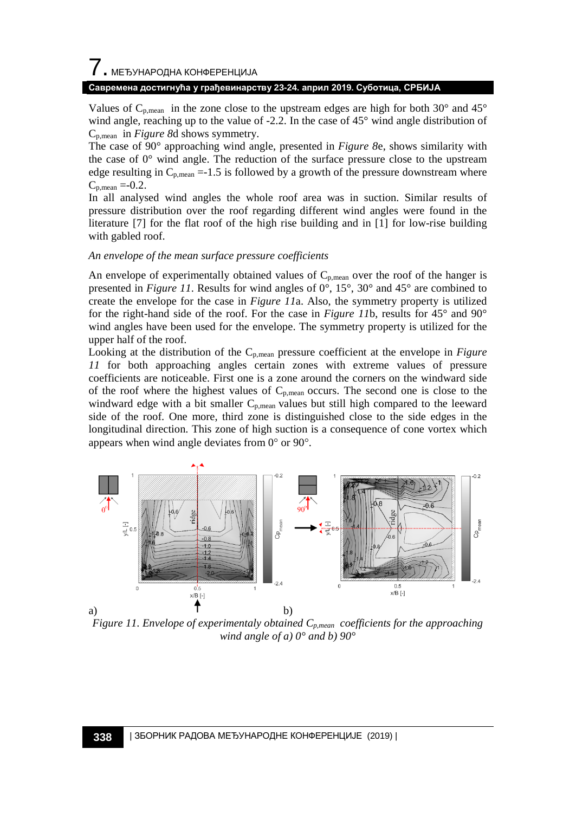# 7. МЕЂУНАРОДНА КОНФЕРЕНЦИЈА

#### **Савремена достигнућа у грађевинарству 23-24. април 2019. Суботица, СРБИЈА**

Values of  $C_{p,mean}$  in the zone close to the upstream edges are high for both 30 $^{\circ}$  and 45 $^{\circ}$ wind angle, reaching up to the value of -2.2. In the case of 45° wind angle distribution of Cp,mean in *[Figure 8](#page-3-0)*d shows symmetry.

The case of 90° approaching wind angle, presented in *[Figure 8](#page-3-0)*e, shows similarity with the case of  $0^{\circ}$  wind angle. The reduction of the surface pressure close to the upstream edge resulting in  $C_{p,mean} = -1.5$  is followed by a growth of the pressure downstream where  $C_{p,mean} = -0.2$ .

In all analysed wind angles the whole roof area was in suction. Similar results of pressure distribution over the roof regarding different wind angles were found in the literature [7] for the flat roof of the high rise building and in [1] for low-rise building with gabled roof.

#### *An envelope of the mean surface pressure coefficients*

An envelope of experimentally obtained values of  $C_{p,mean}$  over the roof of the hanger is presented in *[Figure 11](#page-5-0)*. Results for wind angles of 0°, 15°, 30° and 45° are combined to create the envelope for the case in *[Figure 11](#page-5-0)*a. Also, the symmetry property is utilized for the right-hand side of the roof. For the case in *[Figure 11](#page-5-0)*b, results for 45° and 90° wind angles have been used for the envelope. The symmetry property is utilized for the upper half of the roof.

Looking at the distribution of the Cp,mean pressure coefficient at the envelope in *[Figure](#page-5-0)  [11](#page-5-0)* for both approaching angles certain zones with extreme values of pressure coefficients are noticeable. First one is a zone around the corners on the windward side of the roof where the highest values of  $C_{p,mean}$  occurs. The second one is close to the windward edge with a bit smaller C<sub>p,mean</sub> values but still high compared to the leeward side of the roof. One more, third zone is distinguished close to the side edges in the longitudinal direction. This zone of high suction is a consequence of cone vortex which appears when wind angle deviates from 0° or 90°.



<span id="page-5-0"></span>*Figure 11. Envelope of experimentaly obtained*  $C_{p,mean}$  *coefficients for the approaching wind angle of a) 0° and b) 90°*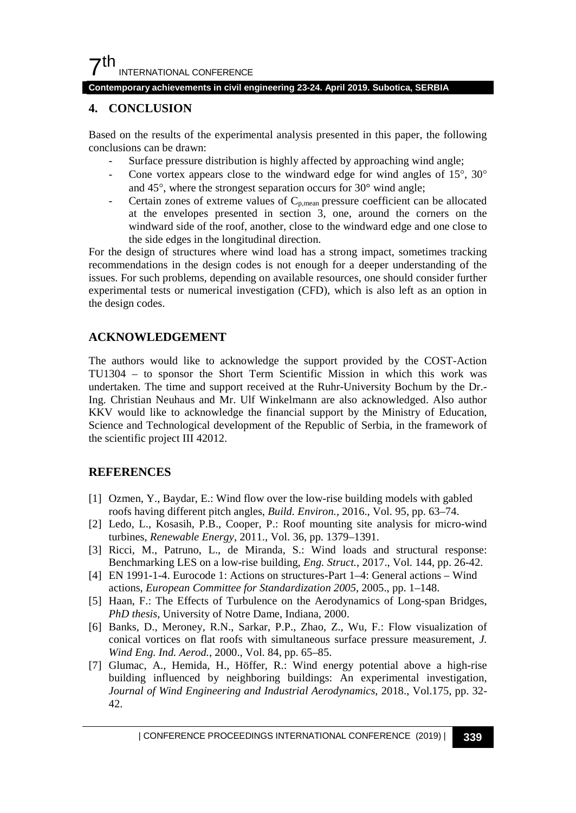## $7<sup>th</sup>$ INTERNATIONAL CONFERENCE

#### **Contemporary achievements in civil engineering 23-24. April 2019. Subotica, SERBIA**

#### **4. CONCLUSION**

Based on the results of the experimental analysis presented in this paper, the following conclusions can be drawn:

- Surface pressure distribution is highly affected by approaching wind angle;
- Cone vortex appears close to the windward edge for wind angles of  $15^{\circ}$ ,  $30^{\circ}$ and 45°, where the strongest separation occurs for 30° wind angle;
- Certain zones of extreme values of  $C_{p,mean}$  pressure coefficient can be allocated at the envelopes presented in section 3, one, around the corners on the windward side of the roof, another, close to the windward edge and one close to the side edges in the longitudinal direction.

For the design of structures where wind load has a strong impact, sometimes tracking recommendations in the design codes is not enough for a deeper understanding of the issues. For such problems, depending on available resources, one should consider further experimental tests or numerical investigation (CFD), which is also left as an option in the design codes.

## **ACKNOWLEDGEMENT**

The authors would like to acknowledge the support provided by the COST-Action TU1304 – to sponsor the Short Term Scientific Mission in which this work was undertaken. The time and support received at the Ruhr-University Bochum by the Dr.- Ing. Christian Neuhaus and Mr. Ulf Winkelmann are also acknowledged. Also author KKV would like to acknowledge the financial support by the Ministry of Education, Science and Technological development of the Republic of Serbia, in the framework of the scientific project III 42012.

## **REFERENCES**

- [1] Ozmen, Y., Baydar, E.: Wind flow over the low-rise building models with gabled roofs having different pitch angles, *Build. Environ.,* 2016., Vol. 95, pp. 63–74.
- [2] Ledo, L., Kosasih, P.B., Cooper, P.: Roof mounting site analysis for micro-wind turbines, *Renewable Energy*, 2011., Vol. 36, pp. 1379–1391.
- [3] Ricci, M., Patruno, L., de Miranda, S.: Wind loads and structural response: Benchmarking LES on a low-rise building, *Eng. Struct.*, 2017., Vol. 144, pp. 26-42.
- [4] EN 1991-1-4. Eurocode 1: Actions on structures-Part 1–4: General actions Wind actions, *European Committee for Standardization 2005*, 2005., pp. 1–148.
- [5] Haan, F.: The Effects of Turbulence on the Aerodynamics of Long-span Bridges, *PhD thesis*, University of Notre Dame, Indiana, 2000.
- [6] Banks, D., Meroney, R.N., Sarkar, P.P., Zhao, Z., Wu, F.: Flow visualization of conical vortices on flat roofs with simultaneous surface pressure measurement, *J. Wind Eng. Ind. Aerod.*, 2000., Vol. 84, pp. 65–85.
- [7] Glumac, A., Hemida, H., Höffer, R.: Wind energy potential above a high-rise building influenced by neighboring buildings: An experimental investigation, *Journal of Wind Engineering and Industrial Aerodynamics*, 2018., Vol.175, pp. 32- 42.